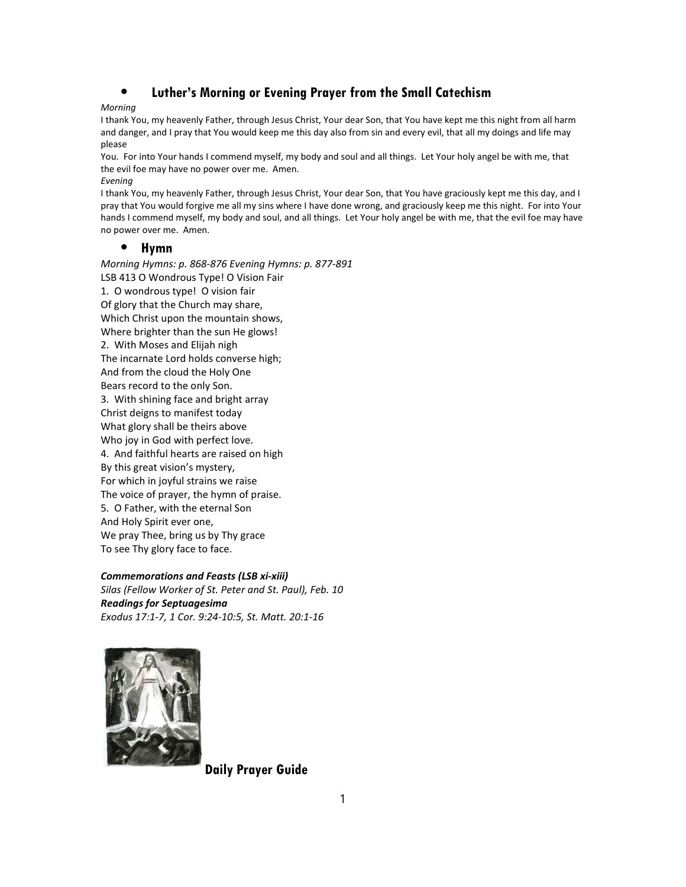# ⦁ Luther's Morning or Evening Prayer from the Small Catechism

## Morning

I thank You, my heavenly Father, through Jesus Christ, Your dear Son, that You have kept me this night from all harm and danger, and I pray that You would keep me this day also from sin and every evil, that all my doings and life may please

You. For into Your hands I commend myself, my body and soul and all things. Let Your holy angel be with me, that the evil foe may have no power over me. Amen.

#### Evening

I thank You, my heavenly Father, through Jesus Christ, Your dear Son, that You have graciously kept me this day, and I pray that You would forgive me all my sins where I have done wrong, and graciously keep me this night. For into Your hands I commend myself, my body and soul, and all things. Let Your holy angel be with me, that the evil foe may have no power over me. Amen.

## ⦁ Hymn

Morning Hymns: p. 868-876 Evening Hymns: p. 877-891 LSB 413 O Wondrous Type! O Vision Fair 1. O wondrous type! O vision fair Of glory that the Church may share, Which Christ upon the mountain shows, Where brighter than the sun He glows! 2. With Moses and Elijah nigh The incarnate Lord holds converse high; And from the cloud the Holy One Bears record to the only Son. 3. With shining face and bright array Christ deigns to manifest today What glory shall be theirs above Who joy in God with perfect love. 4. And faithful hearts are raised on high By this great vision's mystery, For which in joyful strains we raise The voice of prayer, the hymn of praise. 5. O Father, with the eternal Son And Holy Spirit ever one, We pray Thee, bring us by Thy grace To see Thy glory face to face.

Commemorations and Feasts (LSB xi-xiii) Silas (Fellow Worker of St. Peter and St. Paul), Feb. 10 Readings for Septuagesima Exodus 17:1-7, 1 Cor. 9:24-10:5, St. Matt. 20:1-16



Daily Prayer Guide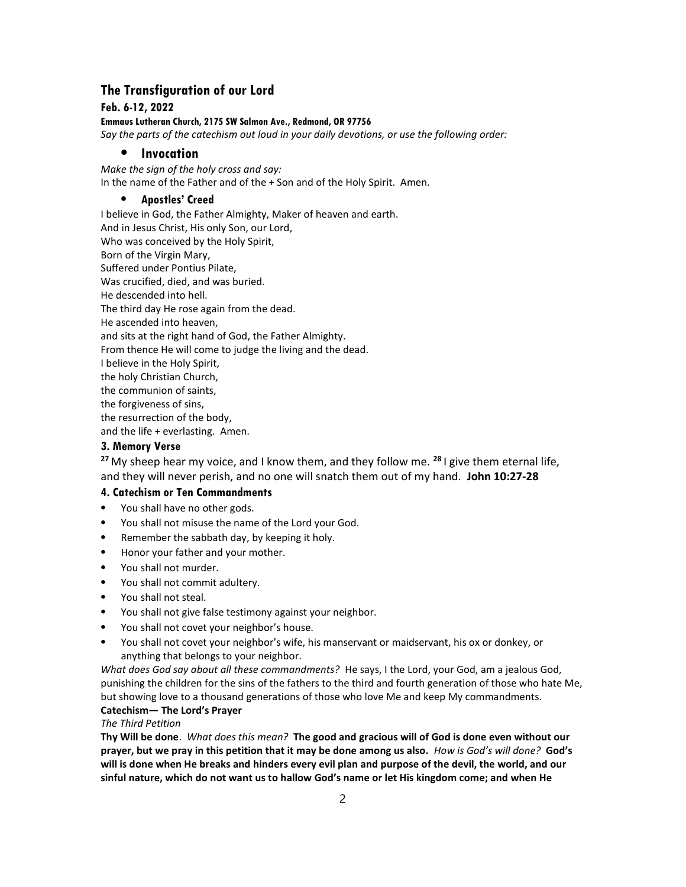# The Transfiguration of our Lord

#### Feb. 6-12, 2022

Emmaus Lutheran Church, 2175 SW Salmon Ave., Redmond, OR 97756

Say the parts of the catechism out loud in your daily devotions, or use the following order:

## **Invocation**

Make the sign of the holy cross and say: In the name of the Father and of the + Son and of the Holy Spirit. Amen.

#### ⦁ Apostles' Creed

I believe in God, the Father Almighty, Maker of heaven and earth. And in Jesus Christ, His only Son, our Lord, Who was conceived by the Holy Spirit, Born of the Virgin Mary, Suffered under Pontius Pilate, Was crucified, died, and was buried. He descended into hell. The third day He rose again from the dead. He ascended into heaven, and sits at the right hand of God, the Father Almighty. From thence He will come to judge the living and the dead. I believe in the Holy Spirit, the holy Christian Church, the communion of saints, the forgiveness of sins, the resurrection of the body, and the life + everlasting. Amen.

#### 3. Memory Verse

<sup>27</sup> My sheep hear my voice, and I know them, and they follow me. <sup>28</sup> I give them eternal life, and they will never perish, and no one will snatch them out of my hand. John 10:27-28

#### 4. Catechism or Ten Commandments

- ⦁ You shall have no other gods.
- ⦁ You shall not misuse the name of the Lord your God.
- Remember the sabbath day, by keeping it holy.
- ⦁ Honor your father and your mother.
- ⦁ You shall not murder.
- You shall not commit adultery.
- You shall not steal.
- ⦁ You shall not give false testimony against your neighbor.
- You shall not covet your neighbor's house.
- ⦁ You shall not covet your neighbor's wife, his manservant or maidservant, his ox or donkey, or anything that belongs to your neighbor.

What does God say about all these commandments? He says, I the Lord, your God, am a jealous God, punishing the children for the sins of the fathers to the third and fourth generation of those who hate Me, but showing love to a thousand generations of those who love Me and keep My commandments.

#### Catechism— The Lord's Prayer The Third Petition

Thy Will be done. What does this mean? The good and gracious will of God is done even without our prayer, but we pray in this petition that it may be done among us also. How is God's will done? God's will is done when He breaks and hinders every evil plan and purpose of the devil, the world, and our sinful nature, which do not want us to hallow God's name or let His kingdom come; and when He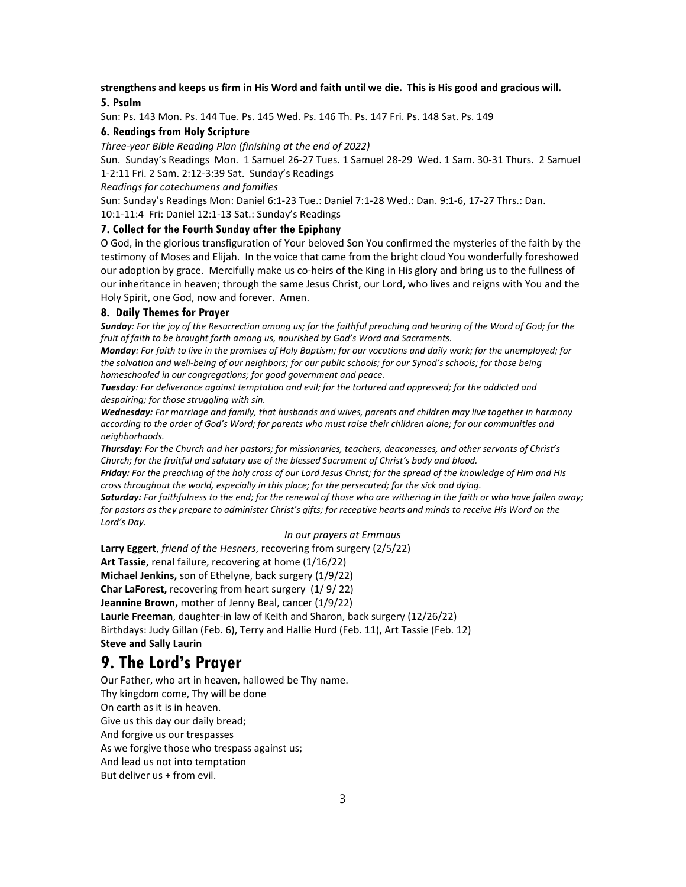## strengthens and keeps us firm in His Word and faith until we die. This is His good and gracious will. 5. Psalm

Sun: Ps. 143 Mon. Ps. 144 Tue. Ps. 145 Wed. Ps. 146 Th. Ps. 147 Fri. Ps. 148 Sat. Ps. 149

#### 6. Readings from Holy Scripture

Three-year Bible Reading Plan (finishing at the end of 2022)

Sun. Sunday's Readings Mon. 1 Samuel 26-27 Tues. 1 Samuel 28-29 Wed. 1 Sam. 30-31 Thurs. 2 Samuel 1-2:11 Fri. 2 Sam. 2:12-3:39 Sat. Sunday's Readings

Readings for catechumens and families

Sun: Sunday's Readings Mon: Daniel 6:1-23 Tue.: Daniel 7:1-28 Wed.: Dan. 9:1-6, 17-27 Thrs.: Dan.

10:1-11:4 Fri: Daniel 12:1-13 Sat.: Sunday's Readings

# 7. Collect for the Fourth Sunday after the Epiphany

O God, in the glorious transfiguration of Your beloved Son You confirmed the mysteries of the faith by the testimony of Moses and Elijah. In the voice that came from the bright cloud You wonderfully foreshowed our adoption by grace. Mercifully make us co-heirs of the King in His glory and bring us to the fullness of our inheritance in heaven; through the same Jesus Christ, our Lord, who lives and reigns with You and the Holy Spirit, one God, now and forever. Amen.

#### 8. Daily Themes for Prayer

Sunday: For the joy of the Resurrection among us; for the faithful preaching and hearing of the Word of God; for the fruit of faith to be brought forth among us, nourished by God's Word and Sacraments.

Monday: For faith to live in the promises of Holy Baptism; for our vocations and daily work; for the unemployed; for the salvation and well-being of our neighbors; for our public schools; for our Synod's schools; for those being homeschooled in our congregations; for good government and peace.

Tuesday: For deliverance against temptation and evil; for the tortured and oppressed; for the addicted and despairing; for those struggling with sin.

Wednesday: For marriage and family, that husbands and wives, parents and children may live together in harmony according to the order of God's Word; for parents who must raise their children alone; for our communities and neighborhoods.

Thursday: For the Church and her pastors; for missionaries, teachers, deaconesses, and other servants of Christ's Church; for the fruitful and salutary use of the blessed Sacrament of Christ's body and blood.

Friday: For the preaching of the holy cross of our Lord Jesus Christ; for the spread of the knowledge of Him and His cross throughout the world, especially in this place; for the persecuted; for the sick and dying.

Saturday: For faithfulness to the end; for the renewal of those who are withering in the faith or who have fallen away; for pastors as they prepare to administer Christ's gifts; for receptive hearts and minds to receive His Word on the Lord's Day.

#### In our prayers at Emmaus

Larry Eggert, friend of the Hesners, recovering from surgery (2/5/22) Art Tassie, renal failure, recovering at home (1/16/22) Michael Jenkins, son of Ethelyne, back surgery (1/9/22) Char LaForest, recovering from heart surgery (1/ 9/ 22) Jeannine Brown, mother of Jenny Beal, cancer (1/9/22) Laurie Freeman, daughter-in law of Keith and Sharon, back surgery (12/26/22) Birthdays: Judy Gillan (Feb. 6), Terry and Hallie Hurd (Feb. 11), Art Tassie (Feb. 12) Steve and Sally Laurin

# 9. The Lord's Prayer

Our Father, who art in heaven, hallowed be Thy name. Thy kingdom come, Thy will be done On earth as it is in heaven. Give us this day our daily bread; And forgive us our trespasses As we forgive those who trespass against us; And lead us not into temptation But deliver us + from evil.